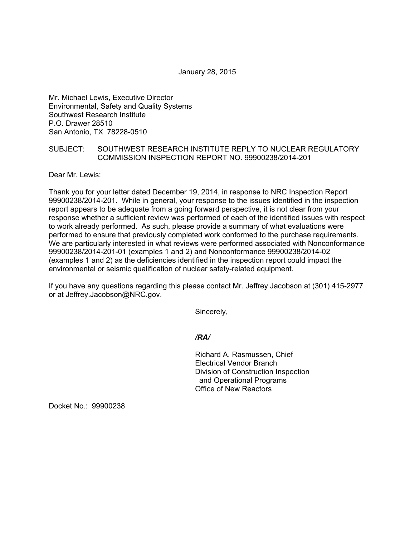January 28, 2015

Mr. Michael Lewis, Executive Director Environmental, Safety and Quality Systems Southwest Research Institute P.O. Drawer 28510 San Antonio, TX 78228-0510

## SUBJECT: SOUTHWEST RESEARCH INSTITUTE REPLY TO NUCLEAR REGULATORY COMMISSION INSPECTION REPORT NO. 99900238/2014-201

Dear Mr. Lewis:

Thank you for your letter dated December 19, 2014, in response to NRC Inspection Report 99900238/2014-201. While in general, your response to the issues identified in the inspection report appears to be adequate from a going forward perspective, it is not clear from your response whether a sufficient review was performed of each of the identified issues with respect to work already performed. As such, please provide a summary of what evaluations were performed to ensure that previously completed work conformed to the purchase requirements. We are particularly interested in what reviews were performed associated with Nonconformance 99900238/2014-201-01 (examples 1 and 2) and Nonconformance 99900238/2014-02 (examples 1 and 2) as the deficiencies identified in the inspection report could impact the environmental or seismic qualification of nuclear safety-related equipment.

If you have any questions regarding this please contact Mr. Jeffrey Jacobson at (301) 415-2977 or at Jeffrey.Jacobson@NRC.gov.

Sincerely,

*/RA/* 

Richard A. Rasmussen, Chief Electrical Vendor Branch Division of Construction Inspection and Operational Programs Office of New Reactors

Docket No.: 99900238